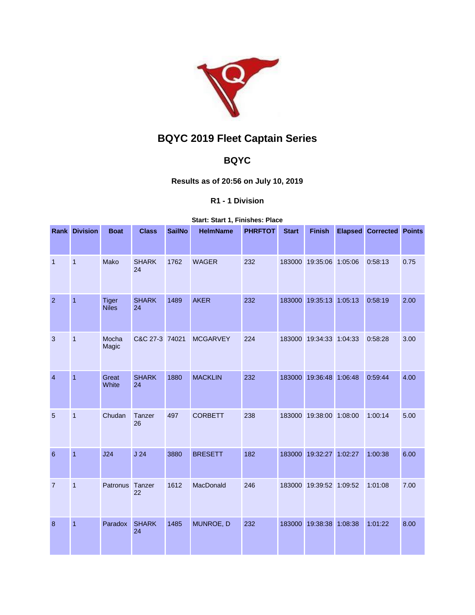

# **BQYC 2019 Fleet Captain Series**

## **BQYC**

### **Results as of 20:56 on July 10, 2019**

#### **R1 - 1 Division**

#### **Start: Start 1, Finishes: Place**

|                 | <b>Rank Division</b> | <b>Boat</b>                  | <b>Class</b>       | <b>SailNo</b> | <b>HelmName</b> | <b>PHRFTOT</b> | <b>Start</b> | <b>Finish</b>           |         | <b>Elapsed Corrected Points</b> |      |
|-----------------|----------------------|------------------------------|--------------------|---------------|-----------------|----------------|--------------|-------------------------|---------|---------------------------------|------|
| $\overline{1}$  | $\mathbf{1}$         | Mako                         | <b>SHARK</b><br>24 | 1762          | <b>WAGER</b>    | 232            |              | 183000 19:35:06 1:05:06 |         | 0:58:13                         | 0.75 |
| $\overline{2}$  | $\overline{1}$       | <b>Tiger</b><br><b>Niles</b> | <b>SHARK</b><br>24 | 1489          | <b>AKER</b>     | 232            |              | 183000 19:35:13 1:05:13 |         | 0:58:19                         | 2.00 |
| 3               | $\mathbf{1}$         | Mocha<br>Magic               | C&C 27-3 74021     |               | <b>MCGARVEY</b> | 224            |              | 183000 19:34:33 1:04:33 |         | 0:58:28                         | 3.00 |
| $\overline{4}$  | $\overline{1}$       | Great<br>White               | <b>SHARK</b><br>24 | 1880          | <b>MACKLIN</b>  | 232            |              | 183000 19:36:48 1:06:48 |         | 0:59:44                         | 4.00 |
| 5               | $\mathbf{1}$         | Chudan                       | Tanzer<br>26       | 497           | <b>CORBETT</b>  | 238            |              | 183000 19:38:00 1:08:00 |         | 1:00:14                         | 5.00 |
| $6\phantom{1}6$ | $\overline{1}$       | J24                          | J <sub>24</sub>    | 3880          | <b>BRESETT</b>  | 182            |              | 183000 19:32:27         | 1:02:27 | 1:00:38                         | 6.00 |
| $\overline{7}$  | $\mathbf{1}$         | Patronus                     | Tanzer<br>22       | 1612          | MacDonald       | 246            |              | 183000 19:39:52 1:09:52 |         | 1:01:08                         | 7.00 |
| 8               | $\mathbf{1}$         | Paradox                      | <b>SHARK</b><br>24 | 1485          | MUNROE, D       | 232            |              | 183000 19:38:38         | 1:08:38 | 1:01:22                         | 8.00 |